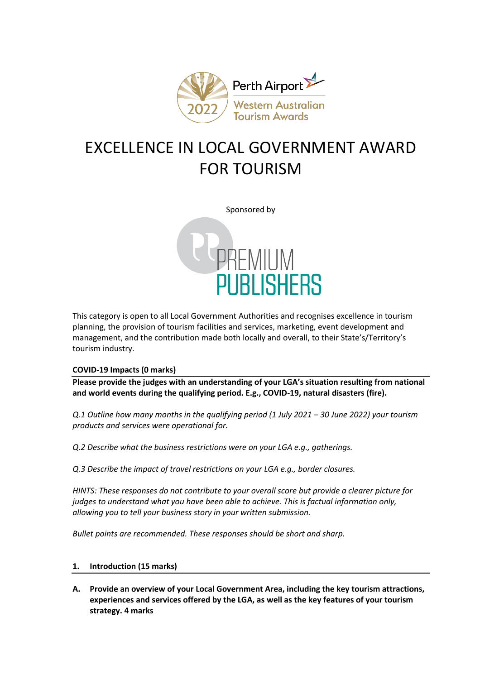

# EXCELLENCE IN LOCAL GOVERNMENT AWARD FOR TOURISM

Sponsored by



This category is open to all Local Government Authorities and recognises excellence in tourism planning, the provision of tourism facilities and services, marketing, event development and management, and the contribution made both locally and overall, to their State's/Territory's tourism industry.

## **COVID-19 Impacts (0 marks)**

**Please provide the judges with an understanding of your LGA's situation resulting from national and world events during the qualifying period. E.g., COVID-19, natural disasters (fire).**

*Q.1 Outline how many months in the qualifying period (1 July 2021 – 30 June 2022) your tourism products and services were operational for.*

*Q.2 Describe what the business restrictions were on your LGA e.g., gatherings.*

*Q.3 Describe the impact of travel restrictions on your LGA e.g., border closures.*

*HINTS: These responses do not contribute to your overall score but provide a clearer picture for judges to understand what you have been able to achieve. This is factual information only, allowing you to tell your business story in your written submission.*

*Bullet points are recommended. These responses should be short and sharp.*

# **1. Introduction (15 marks)**

**A. Provide an overview of your Local Government Area, including the key tourism attractions, experiences and services offered by the LGA, as well as the key features of your tourism strategy. 4 marks**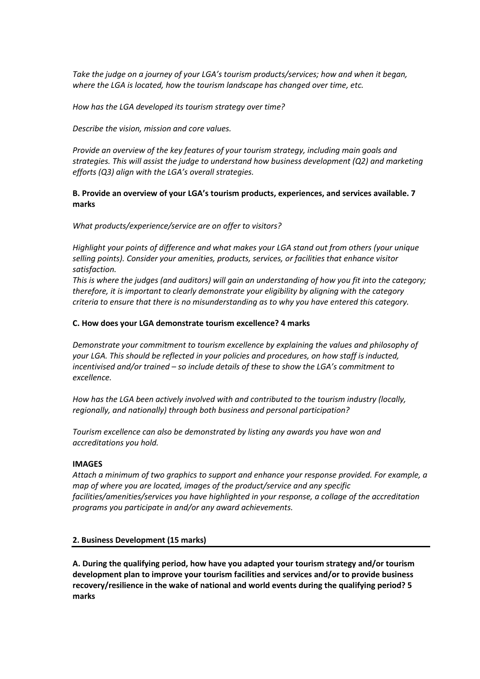*Take the judge on a journey of your LGA's tourism products/services; how and when it began, where the LGA is located, how the tourism landscape has changed over time, etc.*

*How has the LGA developed its tourism strategy over time?*

*Describe the vision, mission and core values.* 

*Provide an overview of the key features of your tourism strategy, including main goals and strategies. This will assist the judge to understand how business development (Q2) and marketing efforts (Q3) align with the LGA's overall strategies.* 

# **B. Provide an overview of your LGA's tourism products, experiences, and services available. 7 marks**

*What products/experience/service are on offer to visitors?*

*Highlight your points of difference and what makes your LGA stand out from others (your unique selling points). Consider your amenities, products, services, or facilities that enhance visitor satisfaction.*

*This is where the judges (and auditors) will gain an understanding of how you fit into the category; therefore, it is important to clearly demonstrate your eligibility by aligning with the category criteria to ensure that there is no misunderstanding as to why you have entered this category.*

## **C. How does your LGA demonstrate tourism excellence? 4 marks**

*Demonstrate your commitment to tourism excellence by explaining the values and philosophy of your LGA. This should be reflected in your policies and procedures, on how staff is inducted, incentivised and/or trained – so include details of these to show the LGA's commitment to excellence.*

*How has the LGA been actively involved with and contributed to the tourism industry (locally, regionally, and nationally) through both business and personal participation?* 

*Tourism excellence can also be demonstrated by listing any awards you have won and accreditations you hold.* 

## **IMAGES**

*Attach a minimum of two graphics to support and enhance your response provided. For example, a map of where you are located, images of the product/service and any specific facilities/amenities/services you have highlighted in your response, a collage of the accreditation programs you participate in and/or any award achievements.* 

## **2. Business Development (15 marks)**

**A. During the qualifying period, how have you adapted your tourism strategy and/or tourism development plan to improve your tourism facilities and services and/or to provide business recovery/resilience in the wake of national and world events during the qualifying period? 5 marks**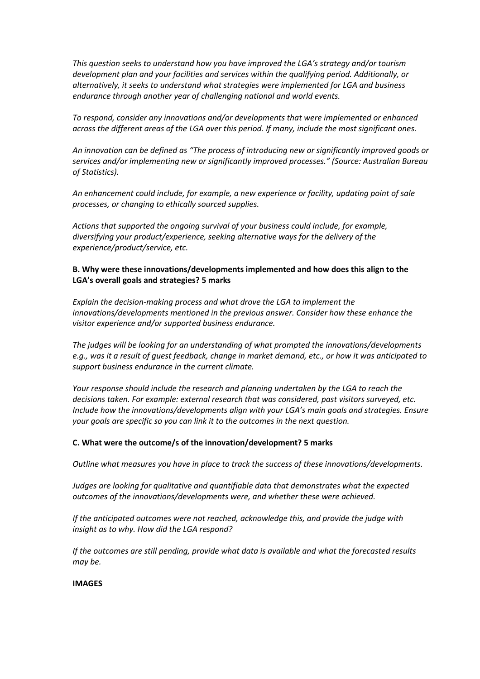*This question seeks to understand how you have improved the LGA's strategy and/or tourism development plan and your facilities and services within the qualifying period. Additionally, or alternatively, it seeks to understand what strategies were implemented for LGA and business endurance through another year of challenging national and world events.* 

*To respond, consider any innovations and/or developments that were implemented or enhanced across the different areas of the LGA over this period. If many, include the most significant ones.*

*An innovation can be defined as "The process of introducing new or significantly improved goods or services and/or implementing new or significantly improved processes." (Source: Australian Bureau of Statistics).*

*An enhancement could include, for example, a new experience or facility, updating point of sale processes, or changing to ethically sourced supplies.* 

*Actions that supported the ongoing survival of your business could include, for example, diversifying your product/experience, seeking alternative ways for the delivery of the experience/product/service, etc.* 

## **B. Why were these innovations/developments implemented and how does this align to the LGA's overall goals and strategies? 5 marks**

*Explain the decision-making process and what drove the LGA to implement the innovations/developments mentioned in the previous answer. Consider how these enhance the visitor experience and/or supported business endurance.* 

*The judges will be looking for an understanding of what prompted the innovations/developments e.g., was it a result of guest feedback, change in market demand, etc., or how it was anticipated to support business endurance in the current climate.*

*Your response should include the research and planning undertaken by the LGA to reach the decisions taken. For example: external research that was considered, past visitors surveyed, etc. Include how the innovations/developments align with your LGA's main goals and strategies. Ensure your goals are specific so you can link it to the outcomes in the next question.*

## **C. What were the outcome/s of the innovation/development? 5 marks**

*Outline what measures you have in place to track the success of these innovations/developments.*

*Judges are looking for qualitative and quantifiable data that demonstrates what the expected outcomes of the innovations/developments were, and whether these were achieved.*

*If the anticipated outcomes were not reached, acknowledge this, and provide the judge with insight as to why. How did the LGA respond?*

*If the outcomes are still pending, provide what data is available and what the forecasted results may be.*

#### **IMAGES**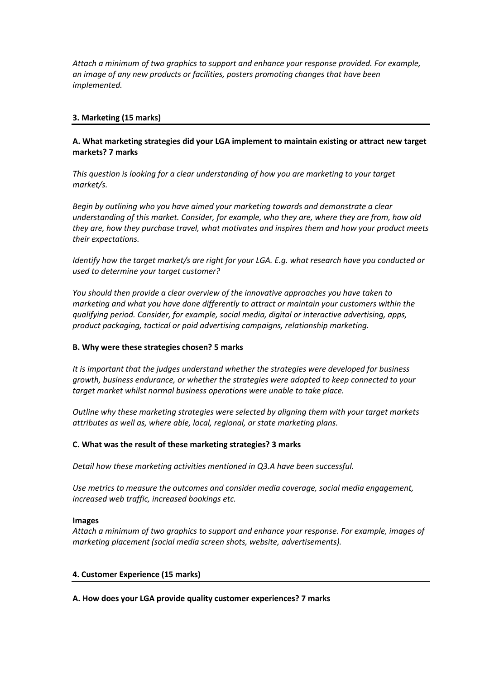*Attach a minimum of two graphics to support and enhance your response provided. For example, an image of any new products or facilities, posters promoting changes that have been implemented.* 

# **3. Marketing (15 marks)**

# **A. What marketing strategies did your LGA implement to maintain existing or attract new target markets? 7 marks**

*This question is looking for a clear understanding of how you are marketing to your target market/s.*

*Begin by outlining who you have aimed your marketing towards and demonstrate a clear understanding of this market. Consider, for example, who they are, where they are from, how old they are, how they purchase travel, what motivates and inspires them and how your product meets their expectations.* 

*Identify how the target market/s are right for your LGA. E.g. what research have you conducted or used to determine your target customer?*

*You should then provide a clear overview of the innovative approaches you have taken to marketing and what you have done differently to attract or maintain your customers within the qualifying period. Consider, for example, social media, digital or interactive advertising, apps, product packaging, tactical or paid advertising campaigns, relationship marketing.*

## **B. Why were these strategies chosen? 5 marks**

*It is important that the judges understand whether the strategies were developed for business growth, business endurance, or whether the strategies were adopted to keep connected to your target market whilst normal business operations were unable to take place.* 

*Outline why these marketing strategies were selected by aligning them with your target markets attributes as well as, where able, local, regional, or state marketing plans.* 

## **C. What was the result of these marketing strategies? 3 marks**

*Detail how these marketing activities mentioned in Q3.A have been successful.* 

*Use metrics to measure the outcomes and consider media coverage, social media engagement, increased web traffic, increased bookings etc.* 

#### **Images**

*Attach a minimum of two graphics to support and enhance your response. For example, images of marketing placement (social media screen shots, website, advertisements).*

#### **4. Customer Experience (15 marks)**

## **A. How does your LGA provide quality customer experiences? 7 marks**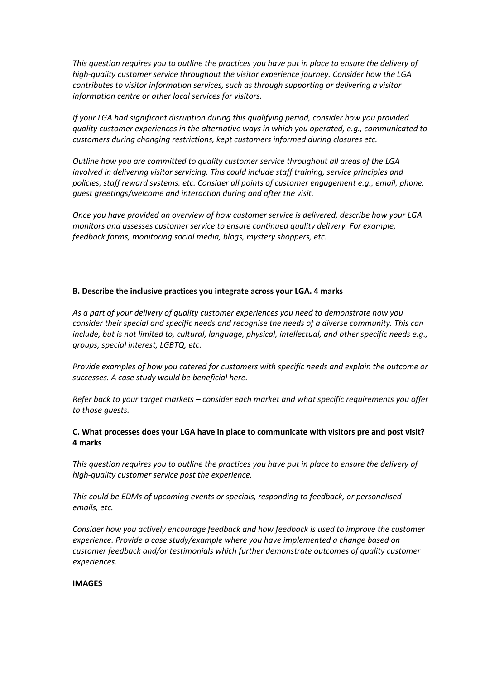*This question requires you to outline the practices you have put in place to ensure the delivery of high-quality customer service throughout the visitor experience journey. Consider how the LGA contributes to visitor information services, such as through supporting or delivering a visitor information centre or other local services for visitors.*

*If your LGA had significant disruption during this qualifying period, consider how you provided quality customer experiences in the alternative ways in which you operated, e.g., communicated to customers during changing restrictions, kept customers informed during closures etc.*

*Outline how you are committed to quality customer service throughout all areas of the LGA involved in delivering visitor servicing. This could include staff training, service principles and policies, staff reward systems, etc. Consider all points of customer engagement e.g., email, phone, guest greetings/welcome and interaction during and after the visit.*

*Once you have provided an overview of how customer service is delivered, describe how your LGA monitors and assesses customer service to ensure continued quality delivery. For example, feedback forms, monitoring social media, blogs, mystery shoppers, etc.* 

#### **B. Describe the inclusive practices you integrate across your LGA. 4 marks**

*As a part of your delivery of quality customer experiences you need to demonstrate how you consider their special and specific needs and recognise the needs of a diverse community. This can include, but is not limited to, cultural, language, physical, intellectual, and other specific needs e.g., groups, special interest, LGBTQ, etc.*

*Provide examples of how you catered for customers with specific needs and explain the outcome or successes. A case study would be beneficial here.* 

*Refer back to your target markets – consider each market and what specific requirements you offer to those guests.*

# **C. What processes does your LGA have in place to communicate with visitors pre and post visit? 4 marks**

*This question requires you to outline the practices you have put in place to ensure the delivery of high-quality customer service post the experience.* 

*This could be EDMs of upcoming events or specials, responding to feedback, or personalised emails, etc.* 

*Consider how you actively encourage feedback and how feedback is used to improve the customer experience. Provide a case study/example where you have implemented a change based on customer feedback and/or testimonials which further demonstrate outcomes of quality customer experiences.* 

#### **IMAGES**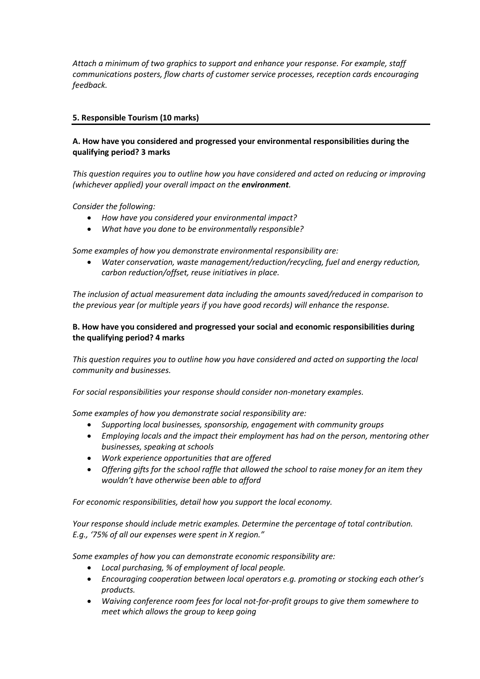*Attach a minimum of two graphics to support and enhance your response. For example, staff communications posters, flow charts of customer service processes, reception cards encouraging feedback.* 

# **5. Responsible Tourism (10 marks)**

# **A. How have you considered and progressed your environmental responsibilities during the qualifying period? 3 marks**

*This question requires you to outline how you have considered and acted on reducing or improving (whichever applied) your overall impact on the environment.* 

*Consider the following:*

- *How have you considered your environmental impact?*
- *What have you done to be environmentally responsible?*

*Some examples of how you demonstrate environmental responsibility are:*

• *Water conservation, waste management/reduction/recycling, fuel and energy reduction, carbon reduction/offset, reuse initiatives in place.*

*The inclusion of actual measurement data including the amounts saved/reduced in comparison to the previous year (or multiple years if you have good records) will enhance the response.*

# **B. How have you considered and progressed your social and economic responsibilities during the qualifying period? 4 marks**

*This question requires you to outline how you have considered and acted on supporting the local community and businesses.* 

*For social responsibilities your response should consider non-monetary examples.*

*Some examples of how you demonstrate social responsibility are:*

- *Supporting local businesses, sponsorship, engagement with community groups*
- *Employing locals and the impact their employment has had on the person, mentoring other businesses, speaking at schools*
- *Work experience opportunities that are offered*
- *Offering gifts for the school raffle that allowed the school to raise money for an item they wouldn't have otherwise been able to afford*

*For economic responsibilities, detail how you support the local economy.* 

*Your response should include metric examples. Determine the percentage of total contribution. E.g., '75% of all our expenses were spent in X region."* 

*Some examples of how you can demonstrate economic responsibility are:*

- *Local purchasing, % of employment of local people.*
- Encouraging cooperation between local operators e.g. promoting or stocking each other's *products.*
- *Waiving conference room fees for local not-for-profit groups to give them somewhere to meet which allows the group to keep going*